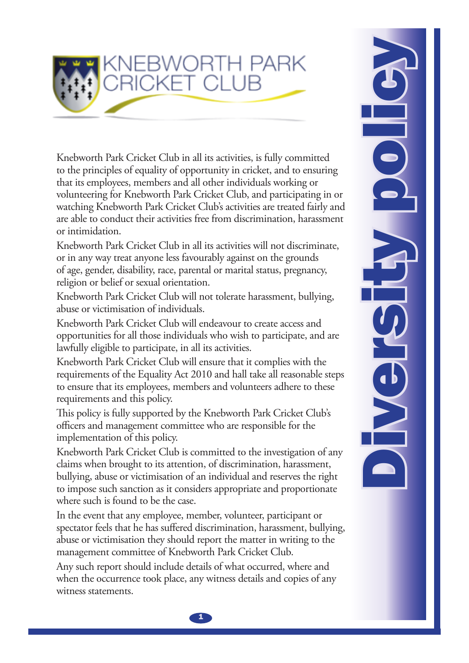

Knebworth Park Cricket Club in all its activities, is fully committed to the principles of equality of opportunity in cricket, and to ensuring that its employees, members and all other individuals working or volunteering for Knebworth Park Cricket Club, and participating in or watching Knebworth Park Cricket Club's activities are treated fairly and are able to conduct their activities free from discrimination, harassment or intimidation.

Knebworth Park Cricket Club in all its activities will not discriminate, or in any way treat anyone less favourably against on the grounds of age, gender, disability, race, parental or marital status, pregnancy, religion or belief or sexual orientation.

Knebworth Park Cricket Club will not tolerate harassment, bullying, abuse or victimisation of individuals.

Knebworth Park Cricket Club will endeavour to create access and opportunities for all those individuals who wish to participate, and are lawfully eligible to participate, in all its activities.

Knebworth Park Cricket Club will ensure that it complies with the requirements of the Equality Act 2010 and hall take all reasonable steps to ensure that its employees, members and volunteers adhere to these requirements and this policy.

This policy is fully supported by the Knebworth Park Cricket Club's officers and management committee who are responsible for the implementation of this policy.

Knebworth Park Cricket Club is committed to the investigation of any claims when brought to its attention, of discrimination, harassment, bullying, abuse or victimisation of an individual and reserves the right to impose such sanction as it considers appropriate and proportionate where such is found to be the case.

In the event that any employee, member, volunteer, participant or spectator feels that he has suffered discrimination, harassment, bullying, abuse or victimisation they should report the matter in writing to the management committee of Knebworth Park Cricket Club.

Any such report should include details of what occurred, where and when the occurrence took place, any witness details and copies of any witness statements.

**ROILORSHANGY**  $\bullet$ 

 $\mathbf{1}$